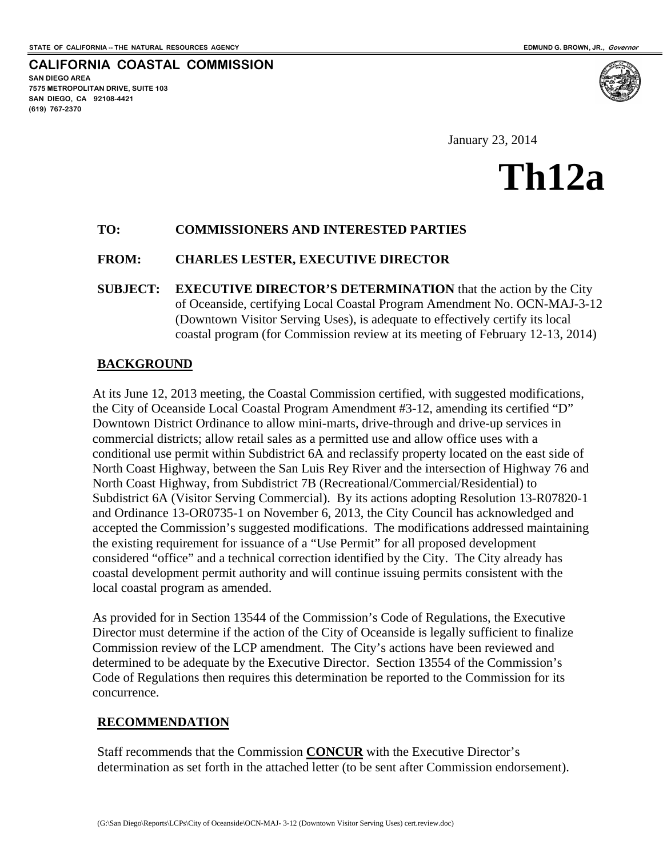**SAN DIEGO AREA**

**(619) 767-2370**

**7575 METROPOLITAN DRIVE, SUITE 103 SAN DIEGO, CA 92108-4421**

**CALIFORNIA COASTAL COMMISSION**

January 23, 2014

### **Th12a**

### **TO: COMMISSIONERS AND INTERESTED PARTIES**

### **FROM: CHARLES LESTER, EXECUTIVE DIRECTOR**

**SUBJECT: EXECUTIVE DIRECTOR'S DETERMINATION** that the action by the City of Oceanside, certifying Local Coastal Program Amendment No. OCN-MAJ-3-12 (Downtown Visitor Serving Uses), is adequate to effectively certify its local coastal program (for Commission review at its meeting of February 12-13, 2014)

### **BACKGROUND**

At its June 12, 2013 meeting, the Coastal Commission certified, with suggested modifications, the City of Oceanside Local Coastal Program Amendment #3-12, amending its certified "D" Downtown District Ordinance to allow mini-marts, drive-through and drive-up services in commercial districts; allow retail sales as a permitted use and allow office uses with a conditional use permit within Subdistrict 6A and reclassify property located on the east side of North Coast Highway, between the San Luis Rey River and the intersection of Highway 76 and North Coast Highway, from Subdistrict 7B (Recreational/Commercial/Residential) to Subdistrict 6A (Visitor Serving Commercial). By its actions adopting Resolution 13-R07820-1 and Ordinance 13-OR0735-1 on November 6, 2013, the City Council has acknowledged and accepted the Commission's suggested modifications. The modifications addressed maintaining the existing requirement for issuance of a "Use Permit" for all proposed development considered "office" and a technical correction identified by the City. The City already has coastal development permit authority and will continue issuing permits consistent with the local coastal program as amended.

As provided for in Section 13544 of the Commission's Code of Regulations, the Executive Director must determine if the action of the City of Oceanside is legally sufficient to finalize Commission review of the LCP amendment. The City's actions have been reviewed and determined to be adequate by the Executive Director. Section 13554 of the Commission's Code of Regulations then requires this determination be reported to the Commission for its concurrence.

### **RECOMMENDATION**

Staff recommends that the Commission **CONCUR** with the Executive Director's determination as set forth in the attached letter (to be sent after Commission endorsement).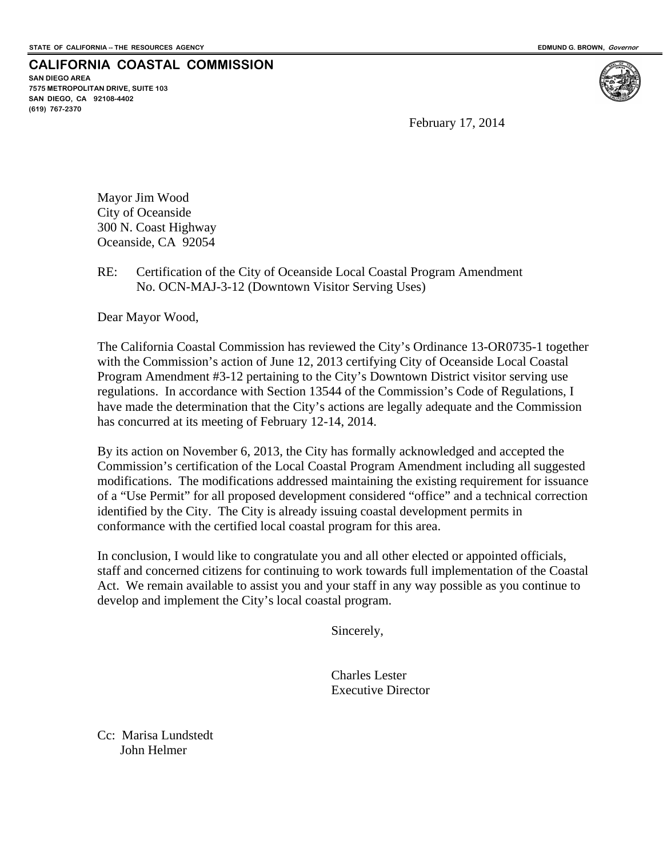**CALIFORNIA COASTAL COMMISSION**

**SAN DIEGO AREA 7575 METROPOLITAN DRIVE, SUITE 103 SAN DIEGO, CA 92108-4402 (619) 767-2370**

February 17, 2014

Mayor Jim Wood City of Oceanside 300 N. Coast Highway Oceanside, CA 92054

RE: Certification of the City of Oceanside Local Coastal Program Amendment No. OCN-MAJ-3-12 (Downtown Visitor Serving Uses)

Dear Mayor Wood,

The California Coastal Commission has reviewed the City's Ordinance 13-OR0735-1 together with the Commission's action of June 12, 2013 certifying City of Oceanside Local Coastal Program Amendment #3-12 pertaining to the City's Downtown District visitor serving use regulations. In accordance with Section 13544 of the Commission's Code of Regulations, I have made the determination that the City's actions are legally adequate and the Commission has concurred at its meeting of February 12-14, 2014.

By its action on November 6, 2013, the City has formally acknowledged and accepted the Commission's certification of the Local Coastal Program Amendment including all suggested modifications. The modifications addressed maintaining the existing requirement for issuance of a "Use Permit" for all proposed development considered "office" and a technical correction identified by the City. The City is already issuing coastal development permits in conformance with the certified local coastal program for this area.

In conclusion, I would like to congratulate you and all other elected or appointed officials, staff and concerned citizens for continuing to work towards full implementation of the Coastal Act. We remain available to assist you and your staff in any way possible as you continue to develop and implement the City's local coastal program.

Sincerely,

Charles Lester Executive Director

Cc: Marisa Lundstedt John Helmer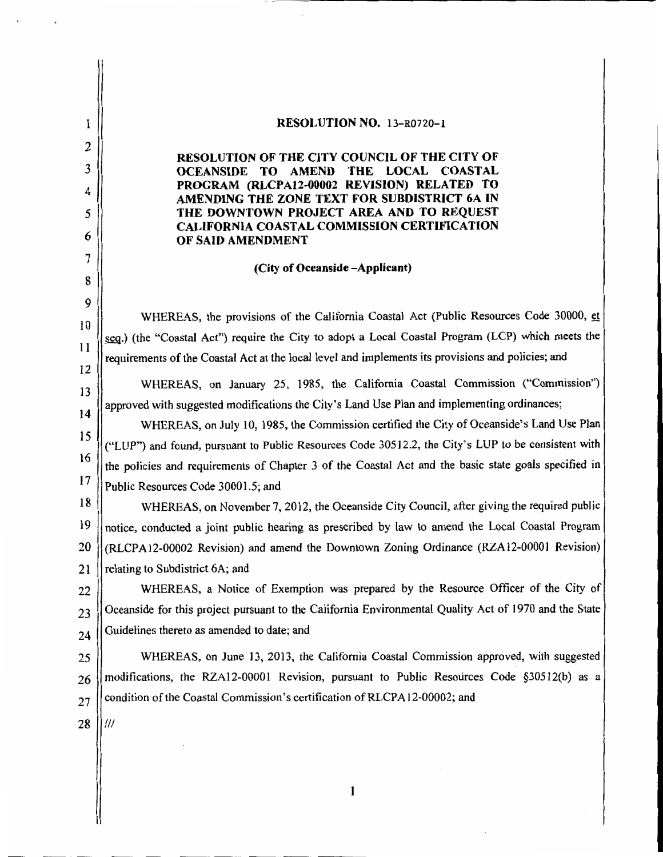RESOLUTION NO. 13-R0720-1 I 2 **RESOLUTION OF THE CITY COUNCIL OF THE CITY OF** 3 **LOCAL COASTAL** OCEANSIDE TO AMEND THE PROGRAM (RLCPA12-00002 REVISION) RELATED TO  $\overline{4}$ AMENDING THE ZONE TEXT FOR SUBDISTRICT 6A IN THE DOWNTOWN PROJECT AREA AND TO REQUEST 5 **CALIFORNIA COASTAL COMMISSION CERTIFICATION** 6 OF SAID AMENDMENT  $\overline{7}$ (City of Oceanside -Applicant) 8 9 WHEREAS, the provisions of the California Coastal Act (Public Resources Code 30000, et  $10$ seg.) (the "Coastal Act") require the City to adopt a Local Coastal Program (LCP) which meets the 11 requirements of the Coastal Act at the local level and implements its provisions and policies; and 12 WHEREAS, on January 25, 1985, the California Coastal Commission ("Commission") 13 approved with suggested modifications the City's Land Use Plan and implementing ordinances; 14 WHEREAS, on July 10, 1985, the Commission certified the City of Oceanside's Land Use Plan 15 ("LUP") and found, pursuant to Public Resources Code 30512.2, the City's LUP to be consistent with 16 the policies and requirements of Chapter 3 of the Coastal Act and the basic state goals specified in  $17$ Public Resources Code 30001.5; and 18 WHEREAS, on November 7, 2012, the Oceanside City Council, after giving the required public 19 notice, conducted a joint public hearing as prescribed by law to amend the Local Coastal Program 20 (RLCPA12-00002 Revision) and amend the Downtown Zoning Ordinance (RZA12-00001 Revision) relating to Subdistrict 6A; and 21 WHEREAS, a Notice of Exemption was prepared by the Resource Officer of the City of 22 Oceanside for this project pursuant to the California Environmental Quality Act of 1970 and the State 23 Guidelines thereto as amended to date; and 24 WHEREAS, on June 13, 2013, the California Coastal Commission approved, with suggested 25 modifications, the RZA12-00001 Revision, pursuant to Public Resources Code §30512(b) as a 26 condition of the Coastal Commission's certification of RLCPA12-00002; and 27 28  $III$ 

 $\mathbf{1}$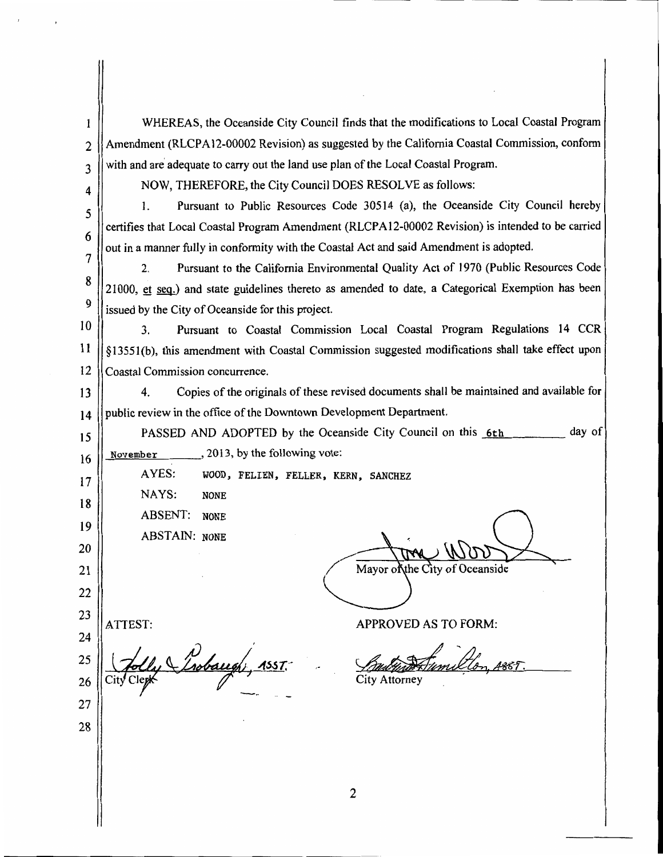| 1              | WHEREAS, the Oceanside City Council finds that the modifications to Local Coastal Program                                                                                         |
|----------------|-----------------------------------------------------------------------------------------------------------------------------------------------------------------------------------|
| $\overline{2}$ | Amendment (RLCPA12-00002 Revision) as suggested by the California Coastal Commission, conform                                                                                     |
| 3              | with and are adequate to carry out the land use plan of the Local Coastal Program.                                                                                                |
| 4              | NOW, THEREFORE, the City Council DOES RESOLVE as follows:                                                                                                                         |
| 5              | Pursuant to Public Resources Code 30514 (a), the Oceanside City Council hereby<br>1.                                                                                              |
| 6              | certifies that Local Coastal Program Amendment (RLCPA12-00002 Revision) is intended to be carried                                                                                 |
| 7              | out in a manner fully in conformity with the Coastal Act and said Amendment is adopted.                                                                                           |
| 8              | Pursuant to the California Environmental Quality Act of 1970 (Public Resources Code<br>2.                                                                                         |
| 9              | 21000, et seq.) and state guidelines thereto as amended to date, a Categorical Exemption has been                                                                                 |
| 10             | issued by the City of Oceanside for this project.                                                                                                                                 |
| 11             | Pursuant to Coastal Commission Local Coastal Program Regulations 14 CCR<br>3.<br>§13551(b), this amendment with Coastal Commission suggested modifications shall take effect upon |
| 12             | Coastal Commission concurrence.                                                                                                                                                   |
| 13             | Copies of the originals of these revised documents shall be maintained and available for<br>4.                                                                                    |
| 14             | public review in the office of the Downtown Development Department.                                                                                                               |
| 15             | day of<br>PASSED AND ADOPTED by the Oceanside City Council on this 6th                                                                                                            |
| 16             | $\ldots$ , 2013, by the following vote:<br>November                                                                                                                               |
| 17             | AYES:<br>WOOD, FELIEN, FELLER, KERN, SANCHEZ                                                                                                                                      |
| 18             | NAYS:<br><b>NONE</b>                                                                                                                                                              |
| 19             | <b>ABSENT:</b><br>NONE                                                                                                                                                            |
| 20             | <b>ABSTAIN: NONE</b>                                                                                                                                                              |
| 21             | Mayor of the City of Oceanside                                                                                                                                                    |
| 22             |                                                                                                                                                                                   |
| 23             |                                                                                                                                                                                   |
| 24             | <b>APPROVED AS TO FORM:</b><br>ATTEST:                                                                                                                                            |
| 25             | baugh                                                                                                                                                                             |
| 26             | <b>City Attorney</b>                                                                                                                                                              |
| 27             |                                                                                                                                                                                   |
| 28             |                                                                                                                                                                                   |
|                |                                                                                                                                                                                   |
|                |                                                                                                                                                                                   |
|                | $\overline{2}$                                                                                                                                                                    |

1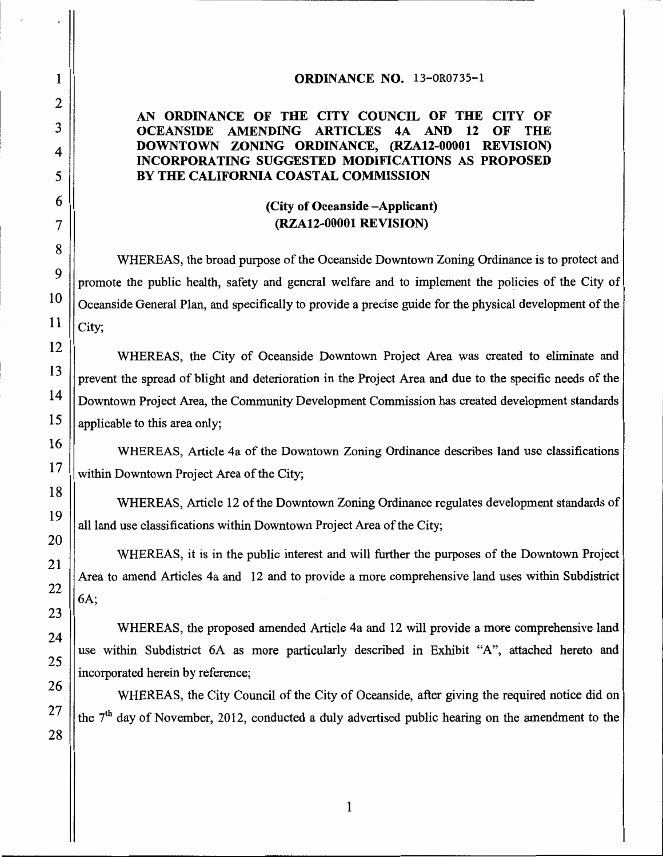### ORDINANCE NO. 13-0R0735-1

### AN ORDINANCE OF THE CITY COUNCIL OF THE CITY OF **OCEANSIDE AMENDING ARTICLES** 4A AND 12 OF **THE** DOWNTOWN ZONING ORDINANCE, (RZA12-00001 REVISION) INCORPORATING SUGGESTED MODIFICATIONS AS PROPOSED BY THE CALIFORNIA COASTAL COMMISSION

### (City of Oceanside – Applicant) (RZA12-00001 REVISION)

WHEREAS, the broad purpose of the Oceanside Downtown Zoning Ordinance is to protect and promote the public health, safety and general welfare and to implement the policies of the City of Oceanside General Plan, and specifically to provide a precise guide for the physical development of the City;

WHEREAS, the City of Oceanside Downtown Project Area was created to eliminate and prevent the spread of blight and deterioration in the Project Area and due to the specific needs of the Downtown Project Area, the Community Development Commission has created development standards applicable to this area only;

WHEREAS, Article 4a of the Downtown Zoning Ordinance describes land use classifications within Downtown Project Area of the City;

WHEREAS, Article 12 of the Downtown Zoning Ordinance regulates development standards of all land use classifications within Downtown Project Area of the City;

WHEREAS, it is in the public interest and will further the purposes of the Downtown Project Area to amend Articles 4a and 12 and to provide a more comprehensive land uses within Subdistrict 6A:

WHEREAS, the proposed amended Article 4a and 12 will provide a more comprehensive land use within Subdistrict 6A as more particularly described in Exhibit "A", attached hereto and incorporated herein by reference;

WHEREAS, the City Council of the City of Oceanside, after giving the required notice did on the 7<sup>th</sup> day of November, 2012, conducted a duly advertised public hearing on the amendment to the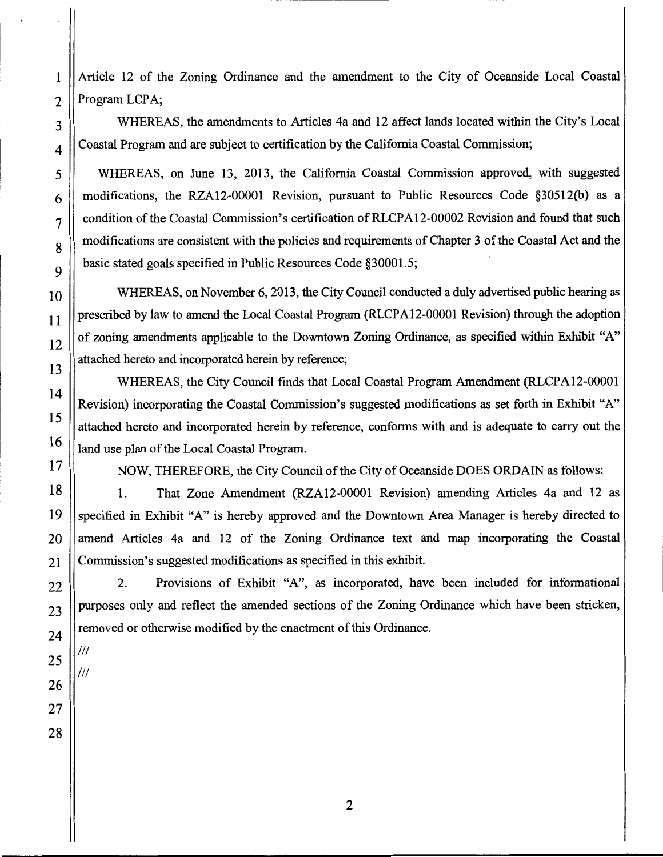Article 12 of the Zoning Ordinance and the amendment to the City of Oceanside Local Coastal Program LCPA;

WHEREAS, the amendments to Articles 4a and 12 affect lands located within the City's Local Coastal Program and are subject to certification by the California Coastal Commission;

WHEREAS, on June 13, 2013, the California Coastal Commission approved, with suggested modifications, the RZA12-00001 Revision, pursuant to Public Resources Code §30512(b) as a condition of the Coastal Commission's certification of RLCPA12-00002 Revision and found that such modifications are consistent with the policies and requirements of Chapter 3 of the Coastal Act and the basic stated goals specified in Public Resources Code §30001.5;

WHEREAS, on November 6, 2013, the City Council conducted a duly advertised public hearing as prescribed by law to amend the Local Coastal Program (RLCPA12-00001 Revision) through the adoption of zoning amendments applicable to the Downtown Zoning Ordinance, as specified within Exhibit "A" attached hereto and incorporated herein by reference;

WHEREAS, the City Council finds that Local Coastal Program Amendment (RLCPA12-00001 Revision) incorporating the Coastal Commission's suggested modifications as set forth in Exhibit "A" attached hereto and incorporated herein by reference, conforms with and is adequate to carry out the land use plan of the Local Coastal Program.

NOW, THEREFORE, the City Council of the City of Oceanside DOES ORDAIN as follows:

1. That Zone Amendment (RZA12-00001 Revision) amending Articles 4a and 12 as specified in Exhibit "A" is hereby approved and the Downtown Area Manager is hereby directed to amend Articles 4a and 12 of the Zoning Ordinance text and map incorporating the Coastal Commission's suggested modifications as specified in this exhibit.

 $2.$ Provisions of Exhibit "A", as incorporated, have been included for informational purposes only and reflect the amended sections of the Zoning Ordinance which have been stricken, removed or otherwise modified by the enactment of this Ordinance.

 $^{\prime\prime\prime}$ 

 $^{\prime\prime\prime}$ 

 $\mathbf{1}$ 

 $\overline{2}$ 

3

 $\overline{4}$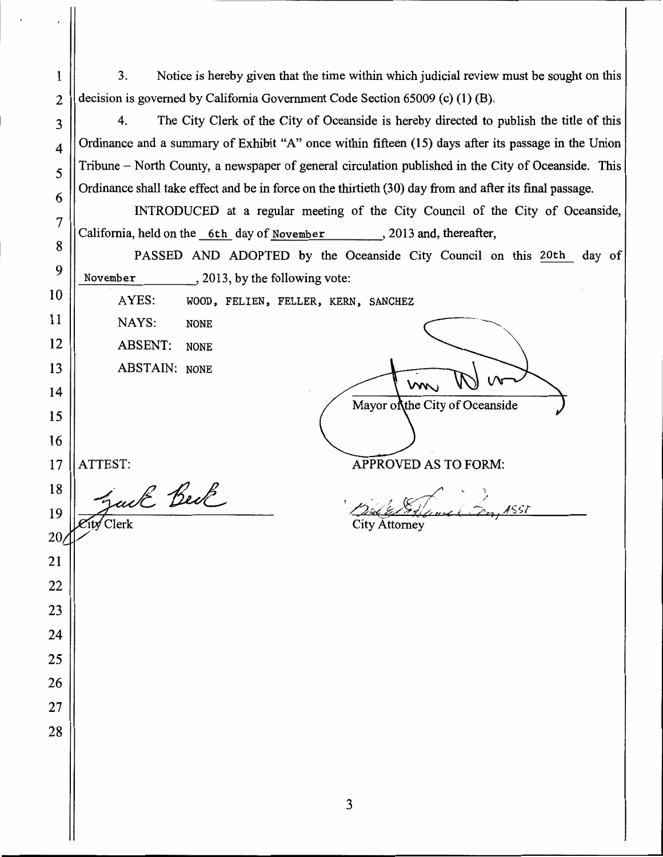$3.$ Notice is hereby given that the time within which judicial review must be sought on this decision is governed by California Government Code Section 65009 (c) (1) (B).

4. The City Clerk of the City of Oceanside is hereby directed to publish the title of this Ordinance and a summary of Exhibit "A" once within fifteen (15) days after its passage in the Union Tribune – North County, a newspaper of general circulation published in the City of Oceanside. This Ordinance shall take effect and be in force on the thirtieth (30) day from and after its final passage.

INTRODUCED at a regular meeting of the City Council of the City of Oceanside, California, held on the 6th day of November, 2013 and, thereafter,

PASSED AND ADOPTED by the Oceanside City Council on this 20th day of November  $, 2013$ , by the following vote:

AYES: WOOD, FELIEN, FELLER, KERN, SANCHEZ

NAYS: **NONE ABSENT: NONE** 

**ABSTAIN: NONE** 

 $m$ Mayor of the City of Oceanside

ATTEST:

 $\mathbf{1}$ 

 $\overline{2}$ 

3

 $\overline{\mathbf{4}}$ 

5

6

 $\overline{7}$ 

8

9

10

11

12

13

14

15

16

17

 $20/$ 

21

22

23

24

25

26

27

28

auk Beck 18 19 ity Clerk

**APPROVED AS TO FORM:** 

1857

**City Attorney**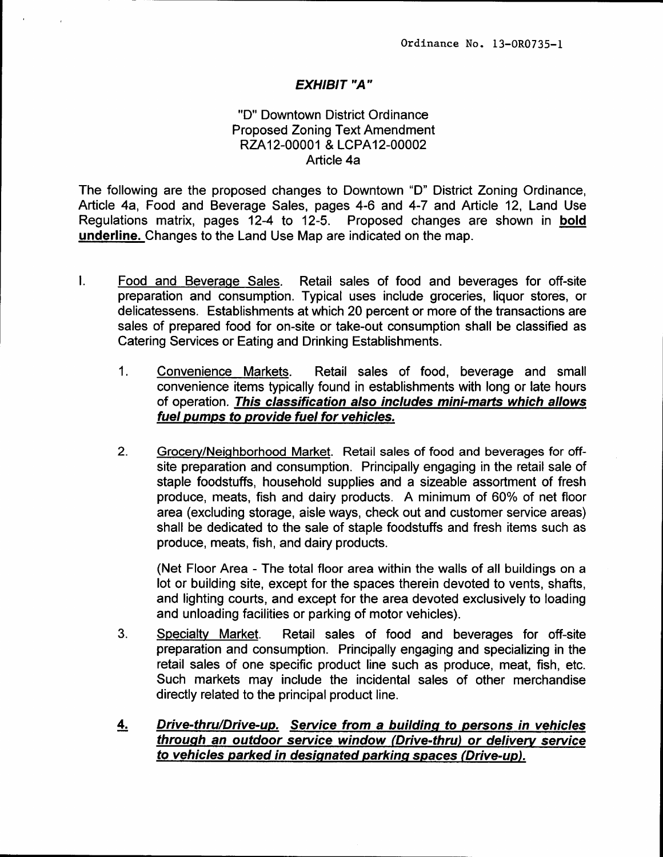### **EXHIBIT "A"**

### "D" Downtown District Ordinance **Proposed Zoning Text Amendment** RZA12-00001 & LCPA12-00002 Article 4a

The following are the proposed changes to Downtown "D" District Zoning Ordinance, Article 4a, Food and Beverage Sales, pages 4-6 and 4-7 and Article 12, Land Use Regulations matrix, pages 12-4 to 12-5. Proposed changes are shown in bold underline. Changes to the Land Use Map are indicated on the map.

- $\mathbf{L}$ Food and Beverage Sales. Retail sales of food and beverages for off-site preparation and consumption. Typical uses include groceries, liquor stores, or delicatessens. Establishments at which 20 percent or more of the transactions are sales of prepared food for on-site or take-out consumption shall be classified as Catering Services or Eating and Drinking Establishments.
	- $1<sub>1</sub>$ Convenience Markets. Retail sales of food, beverage and small convenience items typically found in establishments with long or late hours of operation. This classification also includes mini-marts which allows fuel pumps to provide fuel for vehicles.
	- $2<sub>1</sub>$ Grocery/Neighborhood Market. Retail sales of food and beverages for offsite preparation and consumption. Principally engaging in the retail sale of staple foodstuffs, household supplies and a sizeable assortment of fresh produce, meats, fish and dairy products. A minimum of 60% of net floor area (excluding storage, aisle ways, check out and customer service areas) shall be dedicated to the sale of staple foodstuffs and fresh items such as produce, meats, fish, and dairy products.

(Net Floor Area - The total floor area within the walls of all buildings on a lot or building site, except for the spaces therein devoted to vents, shafts, and lighting courts, and except for the area devoted exclusively to loading and unloading facilities or parking of motor vehicles).

- 3. Specialty Market. Retail sales of food and beverages for off-site preparation and consumption. Principally engaging and specializing in the retail sales of one specific product line such as produce, meat, fish, etc. Such markets may include the incidental sales of other merchandise directly related to the principal product line.
- Drive-thru/Drive-up. Service from a building to persons in vehicles <u>4.</u> through an outdoor service window (Drive-thru) or delivery service to vehicles parked in designated parking spaces (Drive-up).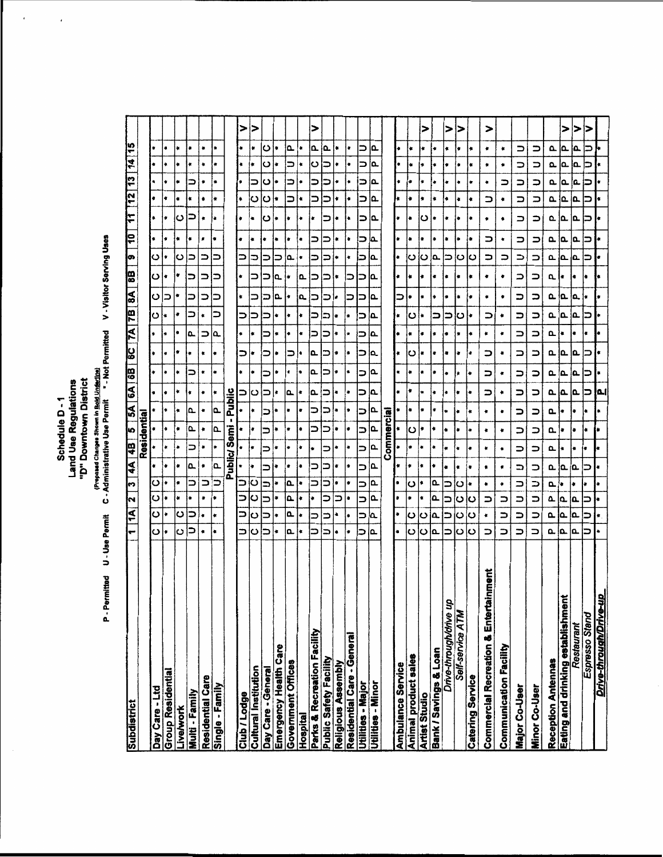# Schedule D - 1<br>Land Use Regulations<br>"D" Downtown District<br>Permitted U - Use Permit C - Administrative Use Permit<br>C - Administrative Use Permit " - Not Permitted V - Visitor Serving Uses

ï

 $\cdot$ 

| Subdistrict                                         |                     | $\overline{\mathbf{A}}$  | $\overline{\mathbf{z}}$ $\overline{\mathbf{z}}$ | $\frac{4}{3}$<br>$\overline{\phantom{0}}$ | ₽             | 10                       | $\overline{\mathbf{5}}$ | 6A        |               | <b>B</b> 87 47 58 88 |              |                |           | 88        | <b>G</b>      | ē   | 11  | $12 \mid 13$ |           | 14 15                         |           |
|-----------------------------------------------------|---------------------|--------------------------|-------------------------------------------------|-------------------------------------------|---------------|--------------------------|-------------------------|-----------|---------------|----------------------|--------------|----------------|-----------|-----------|---------------|-----|-----|--------------|-----------|-------------------------------|-----------|
|                                                     |                     |                          |                                                 |                                           |               | Residential              |                         |           |               |                      |              |                |           |           |               |     |     |              |           |                               |           |
| Day Care - Ltd                                      | ပ                   | ပ                        | ပ                                               | ပ                                         |               |                          |                         | ٠         | l.            |                      | ۰            | ပ              | ပ         | ∗ا ت      | ပ             | ٠   | ł   |              |           | ۰                             |           |
| <b>Group Residential</b>                            |                     | ۰                        | ŧ                                               | ۱۰                                        | ł             |                          | ŀ۰                      | ÷         | ٠             | ٠                    | ŧ            | ŀ×             | っ         |           | I۰            | ŀ   | ŀ   | ٠            | $\bullet$ | ×                             |           |
| Livelwork                                           | O                   | ပ                        | ٠                                               | ٠<br>٠                                    |               | ۰                        | ۰                       | ¥         | ŧ             | ۰                    | ٠            | ۰              | ۰         | ۰         | ပ             | ٠   | ပ   | $\bullet$    | ٠         | ۰                             | ¥         |
| Multi - Family                                      | ⊃                   | ⊃                        |                                                 | Δ.<br>⊃                                   | ⊃             | ௳                        | Ω.                      | ۰         | ⊃             |                      | م.           | っ              | ⊃         | ⊃         | ∍             | ۰   | ⊃   | $\pmb{\ast}$ | ⊃         | ×                             | $\bullet$ |
| Residential Care                                    | $\bullet$           | ۰                        | ۰                                               | ۰<br>⋍                                    |               | ۰                        | ۰                       | ۰         | ŧ             | ŧ                    | ⊃            | ٠              | っ         | ∍         | ⊃             | ,   |     | ۰            | ۰         | ٠                             | ۰         |
| Single - Family                                     | ٠                   | ٠                        | ۰                                               | ه.<br>⋍                                   |               | Δ.                       | م)                      | ¥         | ۰             | ٠                    | Δ.           | ⊃              | ⊃         | ⊃         | ⊃             | ÷   | ۰   | ۰            |           | ÷                             | ۰         |
|                                                     |                     |                          |                                                 |                                           | Public/       | Semi                     |                         | Public    |               |                      |              |                |           |           |               |     |     |              |           |                               |           |
| Club / Lodge                                        |                     | ⊃                        | ⇒                                               | ∍                                         |               |                          |                         | ⊃∣ပ       | ÷             | っ                    | ÷            | ⊃              | ×         | ∣.        | っ             | ٠   |     | ∣∗           | ŀ۰        | i∗                            | >         |
| <b>Cultural Institution</b>                         | د،                  | ပ                        | b                                               | ļ.<br>دءا                                 |               | ł∙                       | ∣∗                      |           | I۰            | ŀ                    | I۰           | っ              | っ         | ⊃         | ⊃             | ٠   |     | ပ            |           | ۱×                            | ⋗         |
| Day Care - General                                  | ⊃                   | ⊃                        | ⊃                                               | ∍<br>⇒                                    |               | コ                        | っ                       | ∣⊃        | ⊃             | っ                    | ⊃            | コ              | コ         | っ         | ⊃             |     | ပ   | ပ            | ပ         | ပ<br>ပ                        |           |
| Emergency Health Care                               | $\bullet$           | ٠                        | ٠                                               | ٠<br>۰                                    | ۰             | ٠                        | $\bullet$               | ۰         | ۰             | ۰                    | $\bullet$    | $\bullet$      | ρ.        | ia.       | ⊃             | l٠  |     | ŧ            | ٠         | ÷                             | ŧ         |
| <b>Government Offices</b>                           | a.                  | ۵.                       | ۵                                               | l e<br>Δ.                                 |               | ٠                        | ٠                       | ام.       | $\pmb{\ast}$  | っ                    | ۱            | ł              | ł         | ÷         | ام.           | ٠   | ł   | ∍            | ⇒         | م<br>コ                        |           |
| Hospital                                            |                     |                          |                                                 | ł∗                                        |               |                          | I۰                      | l≉.       | ŀ٠            | ¦€                   | l *          | ŀ.             | ļΔ.       | ۱۹        |               | ł.  |     | ٠            | ٠         | ŀ.                            | ٠         |
| Parks & Recreation Facility                         |                     |                          | ŀ                                               | っ<br>⊃                                    |               | ာ                        | っ                       | ۱۵.       | ام            | ρ.                   | ⊃            | っ              | ⊃         | ⊃         | ⊃             | っ   |     | ⊃            | 5         | Ω.<br> ပ                      | >         |
| <b>Public Safety Facility</b>                       | ⊃                   | ⊃                        | っ                                               | コ<br>⊃                                    | ⇒             | っ                        | ⊃                       | Ξ         | ∍             | ⊃                    | っ            | っ              | っ         | <u>ာ</u>  | っ             | っ   |     | ⊃            | っ         | Δ.<br>Э                       |           |
| <b>Religious Assembly</b>                           | l∗                  | ▲                        | ∍                                               | l e<br>Į.                                 | ł             | ł.                       | ł,                      | ١×        | ١÷            | ł≉                   | İ≉           | ŀ              | l٠        | ¦∗        | ł€            | ÷   | ŀ۰  | ł            | ×         | l.                            | ٠         |
| Residential Care - General                          | ٠                   | ۰                        | ŀ۰                                              | ۰<br>۰                                    | ¥             | ٠                        | ł.                      | ٠         | ۱.            | ٠                    | ۰            | ۱.             | っ         | ⊃         | ¥             | i s | ŀ۰  | ŀ            | ł.        | ŀ۰                            | ł         |
| Utilities - Major                                   | ∍                   | $\Rightarrow$            | ⊃                                               | ⊃<br>⊃                                    | っ             | ⊃                        | ⊃                       | ⊃         | $\Rightarrow$ | っ                    | っ            | ⊃              | っ         | ⊃         | ∍             | コ   | っ   | ⊃            | ⇒         | コ<br>Ь                        |           |
| Utilities - Minor                                   | ه                   | a.                       | ءا                                              | ه <br>Δ.                                  | a.            | م                        | ء                       | ام        | ها            | ۱۵                   | ١۵           | ه.             | ۵.        | Ι۵        | عا            | ۵.  | Δ.  | ۵.           | Δ.        | Q.<br>ία.                     |           |
|                                                     |                     |                          |                                                 |                                           |               | Commercial               |                         |           |               |                      |              |                |           |           |               |     |     |              |           |                               |           |
| Ambulance Service                                   |                     | ₩                        | ¥                                               | ×<br>۰                                    |               | ∤∗                       |                         | ł         | ×             | ×                    | ł۰           |                | ⇒         |           |               |     |     |              |           |                               |           |
| Animal product sales                                |                     | ပ                        | ۰                                               | ۰<br>ပ                                    | ۰             | ပ                        | ٠                       | ٠         | ٠             | ပ                    | ¥            | ပ              | ٠         | ₩         | ပ             |     | ∣∗  | ٠            | ٠         |                               |           |
| <b>Artist Studio</b>                                | ပ                   | ပ                        | $\bullet$                                       | ٠<br>٠                                    | ٠             | I∗                       | I۰                      | ŧ         | ٠             | ×                    | ļ₽           | I∗             | ٠         | ۰         | ပ             | ٠   | ပ   | ۰            | ۷         | ÷                             | >         |
| Bank / Savings & Loan                               | اه.                 | İ۵.                      | a.                                              | ŧ<br>ها                                   | ł             | ⊧                        | l∗                      | *         | I۰            | l٠                   | ∗            | =              | l٠        | l e       | ۱a.           |     | ١ŧ  | l÷.          | ł.        | ÷                             |           |
| Drive-through/drive up                              | ∍                   | ⊃                        | ∍                                               | ٠<br>⊐                                    | ٠             | ۰                        | ۰                       | ×         | ٠             | ÷                    | ÷            | っ              | ٠         | I۰        | ౹౨            | İ.  | l s | ł.           | ŀ         | ŀ                             | ⊳         |
| Self-service ATM                                    | $\ddot{\mathbf{C}}$ | ပ                        | ပ                                               | ÷<br>Õ                                    | ٠             | ∙                        | $\bullet$               | ۰         | ı.            | ŀ                    | ¥            | ပ              | $\bullet$ | $\bullet$ | ပ             | ۰   | ۰   | ٠            | ۰         | ×<br>٠                        | ⋗         |
| <b>Catering Service</b>                             | ပ                   | ပ                        | ပ                                               | ٠<br>ŀ×                                   | l٠            | l٠                       | $\pmb{\ast}$            | I۰        | İ٠            | ļ.                   | I٠           | ŀ              | ŀ۰        | ٠         | د،            | ۰   | ÷   | ŧ            |           | ٠<br>ŧ                        |           |
| nment<br><b>Commercial Recreation &amp; Enterta</b> | ⊃                   | ٠                        | ۰<br>⊃                                          | $\bullet$                                 | ۰             | ٠                        | ۰                       | っ         | ⇒             | ⊃                    | $\pmb{\ast}$ | っ              | ۰         | ۰         | ∍             | っ   | ۰   | コ            | ۰         | ٠<br>۰                        | >         |
| Communication Facility                              | ⊃                   | $\Rightarrow$            | ۰<br>⊃                                          | ٠                                         | ٠             | ۰                        | ۰                       | ۰         | ٠             | ٠                    | $\bullet$    | ۰              | ٠         | ٠         | ∍             | ۰   | ۰   | ۰            | ∍         | ¥                             |           |
| Major Co-User                                       | $\Rightarrow$       | $\Rightarrow$            | コ                                               | $\Rightarrow$<br>$\Box$                   | $\Rightarrow$ | コ                        | っ                       | っ         | っ             | っ                    | コ            | $\overline{a}$ | っ         | ာ         | $\Rightarrow$ | っ   | ∍   | コ            | ∍         | $\overline{\phantom{a}}$<br>Ξ |           |
| <b>Minor Co-User</b>                                | $\Rightarrow$       | $\overline{\phantom{0}}$ | ⊃<br>っ                                          | ⊃                                         | $\Rightarrow$ | $\overline{\phantom{a}}$ | $\Rightarrow$           | っ         | ∍             | ∍                    | $\Box$       | ⊃              | っ         | っ         | ∍             | ∍   | っ   | ⊃            | ⊃         | っ<br>$\Rightarrow$            |           |
| Reception Antennas                                  | α.                  | Δ.                       | Δ.                                              | σ.<br>ρ.                                  | α.            | α.                       | Q.,                     | σ         | α.            | م إم                 | n ¦∗         | α.             | ά.        | Δ.        | Δ.            | Δ.  | Δ.  | Δ.           | ρ.        | Ⴍ<br>Q,                       |           |
| Eating and drinking establishmen                    | ١۵                  | م.                       | ļΔ.                                             | ۱a.                                       |               | ۰                        | ŀ۰                      | <b>ام</b> | ه:            |                      |              | ۱Q.            | a.        | l∗        | ام            | ۱α. | ۱۵. | ١۵.          | ¦م        | ۱۵.<br>اما                    | >         |
| Restaurant                                          | Δ.                  | ۱a.                      | $\overline{a}$                                  | ۵.<br>۰                                   | ٠             | Þ                        | ŀ                       | ι۵        | ۵.            | ١۵                   | ł.           | ١۵             | اه.       | I٠        | Ι۵            | α.  | ه   | ۵.           | α.        | ه <br>ļα.                     | >         |
| Espresso Stand                                      | っ                   | ⊃                        | ŀ<br>∍                                          | っ                                         |               | l٠                       | ŀ۰                      | כן        | ⊃             | ⊃                    | ł            | っ              | ٠         | ٠         | ⋍             |     |     | ⊃            |           | ⊃                             | ⋗         |
| Drive-through/Drive-u                               |                     | I∗                       |                                                 |                                           |               | ł٠                       |                         | ا ا       | ŀ             |                      |              |                |           |           |               |     |     |              |           |                               |           |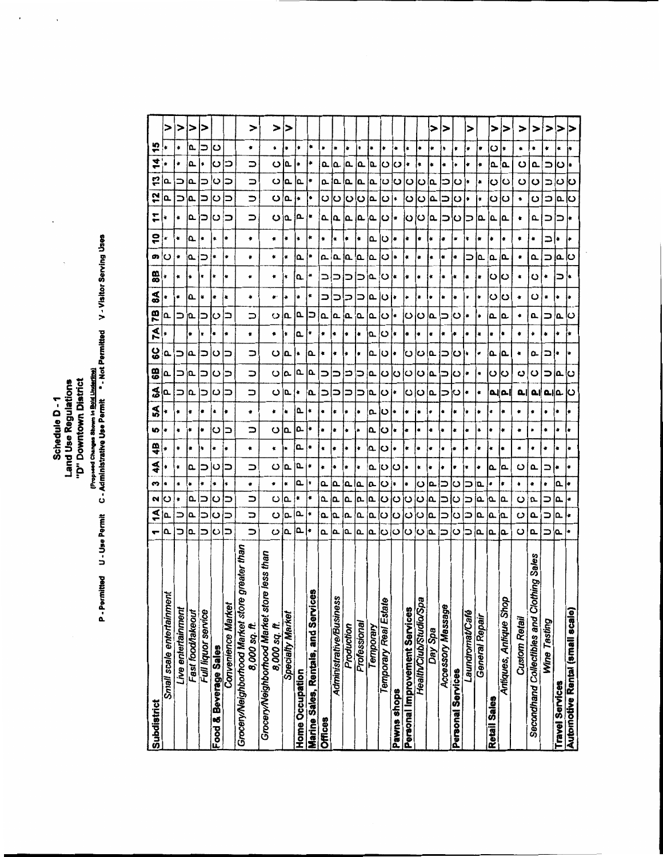Schedule D - 1<br>Land Use Regulations<br>"D" Downtown District

 $\ddot{\phantom{0}}$ 

P - Permitted U - Use Permit C - Administrative Use Permit \* - Not Permitted V - Visitor Serving Uses<br>P - Permitted U - Use Permit C - Administrative Use Permit \* - Not Permitted V - Visitor Serving Uses

| Subdistrict                                                        |               | ₹      | n<br>2          | ₹   | 4B  | 10 | S         | $\frac{0}{6}$<br>S | ပ္စ | χX | 7B  | $\boldsymbol{\mathsf{s}}$ | 88        | g,           | S                | F   | 12                    | 4<br>့         | 15  |   |
|--------------------------------------------------------------------|---------------|--------|-----------------|-----|-----|----|-----------|--------------------|-----|----|-----|---------------------------|-----------|--------------|------------------|-----|-----------------------|----------------|-----|---|
| Small scale entertainmen                                           | Δ             | Ω.     | ۰<br>ပ          | ۰   | ÷   | è  | ٠         | Δ.<br>Q            | م   |    | Ⴍ   |                           |           | ပ            | ŧ                | ∗   | Q,                    | ۵              |     | > |
| Live entertainment                                                 | ⊃             | ⋍      | 4<br>۰          | ۰   | ٠   | ٠  | ۰         | コ<br>コ             | っ   |    | ∍   | ۰                         | ۰         | ŧ            | ٠                | ٠   | ⊃                     | ۰<br>∍         | ۰   | > |
| Fast food/takeout                                                  | io.           | ۵.     | ۰<br>۵.         | Δ.  | ¢   | ŧ  | ŀ         | ١۵<br>۱Q.          | ۱۵. | ŀ  | ۱Q. | ۵                         | ļ÷.       | ì۵.          | Δ.               | ١۵  | ί۵.                   | Δ.<br>م        | i۵. | ⊳ |
| Full liquor service                                                | ⊃             | ⊃      | ٠               | ⊃   | l + | ∙  | ٠         | ⊃<br>⊃             | ⊃   | ×  | ⊃   | ₩                         | ¥         | ⊃            | ۰                | ⊃   | ⊐                     | ۰<br>⊃         | ⊃   | > |
| Food & Beverage Sales                                              | ပ             | ပ      | ۰<br>ပ          | ပ   | ٠   | ပ  | ۰         | ပ<br>ပ             | ပ   | ٠  | ပ   | ٠                         | ŧ         | $\bullet$    | ×                | ပ   | ပ                     | ပ<br>ပ         | ပ   |   |
| <b>Convenience Market</b>                                          | っ             | ⊃      | ŧ<br>⊃          | ⊃   | ۰   | ∍  | ٠         | ⊃<br>⊃             | ⊃   | ۰  | ⊃   | $\ddot{\textbf{z}}$       | ٠         | ۰            | ٠                | っ   | ⊃                     | ⊃<br>⊃         |     |   |
| greater than<br>Grocery/Neighborhood Market store<br>8,000 sq. ft. | っ             | っ      | ۰<br>コ          | ⊃   | ۰   | ∍  | ۰         | $\Rightarrow$<br>っ | っ   | ۰  | っ   | ۰                         | ٠         | $\pmb{\ast}$ | ٠                | ∍   | $\Rightarrow$         | っ<br>っ         | ۰   | > |
|                                                                    |               |        |                 |     |     |    |           |                    |     |    |     |                           |           |              |                  |     |                       |                |     |   |
| Grocery/Neighborhood Market store less than<br>8,000 sq. ft.       | ပ             | ပ      | ۰<br>ပ          | ပ   | ¥   | ပ  | ۰         | ပ<br>ပ             | ပ   | ٠  | ပ   | ۰,                        | ۰         | ٠            | ۰                | ပ   | ပ                     | ပ<br>ပ         | ۰   | > |
| Specialty Market                                                   | م             | a.     | $\bullet$<br>Q, | Δ.  | ×   | ۵  | ٠         | ۵.<br>۵.           | Δ.  | ¥  | Δ.  | ۰                         | ٠         | ¥            | ٠                | ۵   | ρ.                    | ۵.<br>Δ.       | ۰   | > |
| <b>Home Occupation</b>                                             | Δ.            | Ω.     | ۵.<br>ŧ         | م   | ے   | ۵. | <b>Q.</b> | ۵.<br>۰            | ۰   | ۵. | Ω   | ۰                         | Δ.        | Δ.           | $\ddot{\bullet}$ | Ⴍ   | ♦                     | ۰<br>൨         | ۰   |   |
| ø<br>Marine Sales, Rentals, and Service                            | ŧ             | ŧ      | ¥<br>٠          | ٠   | ۰   | ŀ  | ٠         | ۵.<br>ί۵           | ۵   | ٠  | っ   | ŧ                         | ۰         | ۰            | ۰                | ٠   | ٠                     | ×<br>ŧ         | ۰   |   |
| <b>Offices</b>                                                     | Δ.            | ۵.     | م<br>۵.         | ٠   |     |    | ۰         | ⊃<br><b>D</b>      | ٠   | ۰  | Ω.  | ⊃                         | ⊃         | Ω.           | ۰                | Δ.  | O                     | ۵.<br>Δ.       | à   |   |
| <b>Administrative/Business</b>                                     | عا            | Ω.     | ۵<br>ΙQ         | ÷   | ٠   | ŧ  | ¢         | ∍<br>⊃             |     | ŧ  | ۱۵  | ⊃                         | ⊃         | $\mathbf{a}$ | ×                | ١۵  | ပ                     | ≏<br>ட         | ۰   |   |
| Production                                                         | σ             | Ω.     | ۵.<br>م         | ŧ   |     |    | ۰         | ⋍                  |     | ٠  | اه. | ⊃                         | ⊃         | Δ.           | ٠                | Δ.  | ပ                     | Δ.<br>Δ.       | ŧ   |   |
| Professional                                                       | Δ.            | Δ.     | Δ.<br>Δ.        | ۰   | ŧ   | ٠  | ۰         | ⊃<br>⊃             | ۰   | ۰  | Q.  | ⊃                         | ⊃         | ļ۵.          | İ.               | اΩ  | $\overline{\text{c}}$ | ۵.<br>۱Œ.      |     |   |
| Temporary                                                          | ء             | ۵.     | Δ.<br>Q.        | م   | Δ.  | Δ. | Ω.        | <u>م</u><br>Ω.     | عا  | σ. | ع   | ρ.                        | م         | $\mathbf{a}$ | Δ.               | ۵.  | Ι۵                    | م<br>σ.        |     |   |
| Temporary Real Estate                                              | ပ             | ပ      | ပ<br>ပ          | ပ   | ပ   | ပ  | ပ         | ပ<br>ပ             | ပ   | ပ  | ပ   | ပ                         | •ان       | ပ            | $\ddot{\circ}$   | లŀ  | •ان                   | ပ<br>ပ         | ۰   |   |
| Pawns shops                                                        | ပ             | ပ      | ٠<br>O          | ပ   | l٠  | ŧ  | ŀ۰        | ں∣<br>¦ŧ.          | l s | ¦∗ | İ٠  | ı.                        |           | I۰           | ļ.               |     |                       | ပ<br>ပ         | ۰   |   |
| Personal Improvement Services                                      | lω            | ပ      | ٠<br>ပ          | ۰   | ŀ.  | ÷  | ٠         | ပ<br>ပ             | ပ   | l. | ပ   | ł                         | ŀ         | ∣∗           | I۰               | د›ا | ں∣                    | ٠<br>ပ         | ¥   |   |
| Health/Club/Studio/Spa                                             | ပ             | ပ      | ပ<br>ပ          | ¥   | ۱.  | ۰  | ۰         | ပ<br>ပ             | ပ   | ٠  | ပ   | ł.                        | ×         | ٠            | ٠                | ပ   | ပ                     | ٠<br>ပ         | ۰   |   |
| Day Spa                                                            | ه.            | ļ۵.    | ء <br>a.        | ۰   | l.  | ٠  | ٠         | ام.<br>ها          | ١۵  | ¥  | ۵   | ٠                         | ¥         | ÷            | Þ                | ۵.  | م                     | ¥<br>۱Q.       | ÷   | ⋗ |
| Accessory Massage                                                  |               | ⊐<br>コ | ⋍               | ٠   | ٠   | ۰  | ۰         | ⊐                  | ⊐   | ۰  | コ   | ۰                         | ۰         | ٠            | ۰                | っ   | ゠                     |                | ٠   | > |
| Personal Services                                                  | ပ             | ပ      | ပ<br>ပ          | I۴  | ł   | ŧ  | ۰         | ပ<br>ပ             | ပ   | ∣∗ | ပ   | ٠                         | Ł         | ŀ₽           | ٠                | ၑ   | ပ                     | ပ              | ٠   |   |
| Laundromat/Café                                                    | ⊃             | ⊃<br>⊃ | ⊃               | ļ.  |     | Ł  | ÷         | ļ÷.<br>ł           |     |    |     | ۰                         | ٠         | ⊃            | ĺ۴               | ⊃   | I۰                    | ۰<br>۰         |     | > |
| General Repair                                                     | Δ.            | م      | $\alpha$<br>ί۵  | ۰   | ٠   | ۰  | $\bullet$ | ۰<br>ŧ             | ٠   | Ł  | ٠   | ۰                         | ×         | α.           | ۰                | ۵.  | ¥                     | ۰<br>$\bullet$ | ٠   |   |
| Retail Sales                                                       | a.            | ۵.     | ٠<br>م          | م   | ۰   | ٠  | ۰         | ပ                  | ۵.  | ŧ  | Δ.  | ပ                         | ပ         | ۵.           | ۰                | ۵.  | ပ                     | ۵.<br>ပ        | ပ   | > |
| Antiques, Antique Shop                                             | م             | ρ.     | ٠<br>Q.         | Ι۵. | ٠   | ٠  | ٠         | ပ<br>اءام          | ൨   | ٠  | ۵.  | ပ                         | ပ         | Δ.           | ٠                | Δ   | ပ                     | ۵.<br>ပ        | ŧ   | > |
| Custom Retail                                                      | ပ             | ပ      | ۰<br>ပ          | ပ   | ٠   | ٠  | ٠         | ပ<br>اء            | ۰   | ۰  | ٠   | ۰                         | $\bullet$ | ۰            | ٠                | ۰   | ٠                     | ပ<br>ပ         | ٠   | > |
| <b>Sales</b><br>hing :<br>Secondhand Collectibles and Clot         | Q.            | م      | ٠<br>a.         | Δ.  | ¢   | ŧ  | ¢         | ပ<br><b>a</b>      | ۵.  | ÷. | ۵.  | ပ                         | ပ         | Δ.           | ٠                | ௳   | ပ                     | Δ.<br>ပ        | ٠   | > |
| Wine Tasting                                                       | $\Rightarrow$ | ⊃      | ŧ<br>コ          | ⊃   | ۰   | ٠  | ٠         | っ<br>عيم           | っ   | ٠  | コ   | ÷                         | ۰         | コ            | コ                | ⊃   | ⊃                     | コ<br>コ         | ٠   | > |
| Travel Services                                                    | ۵.            | Δ.     | Ⴍ<br>Δ.         | ٠   | İ.  | ٠  | ٠         | ۱۵                 | ٠   | ۰  | Δ.  | ŀ                         | っ         | Δ.           | ٠                |     | <b>Q</b>              | ပ<br>ပ         |     | > |
| Automotive Rental (small scale)                                    |               | l.     | ŀ               | I.  | ١.  | ie |           | b<br>Ю             |     |    | ပ   |                           | 'n        | b            | l p              |     | Ιo                    | b              |     |   |